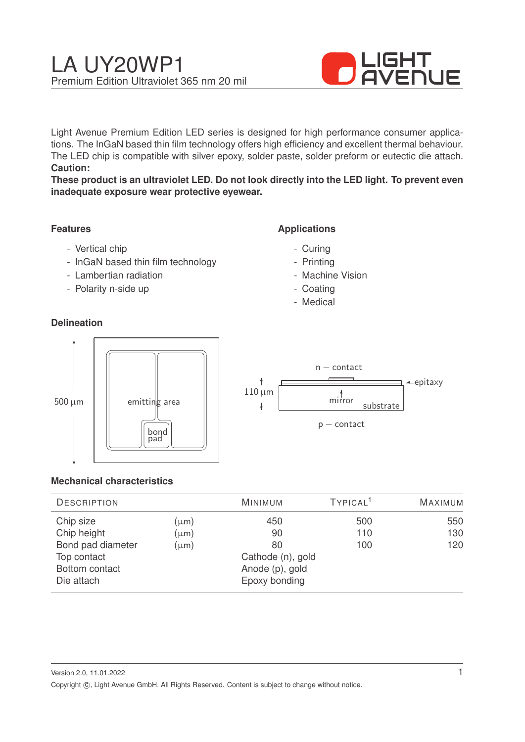

Light Avenue Premium Edition LED series is designed for high performance consumer applications. The InGaN based thin film technology offers high efficiency and excellent thermal behaviour. The LED chip is compatible with silver epoxy, solder paste, solder preform or eutectic die attach. **Caution:**

**These product is an ultraviolet LED. Do not look directly into the LED light. To prevent even inadequate exposure wear protective eyewear.**

### **Features**

- Vertical chip
- InGaN based thin film technology
- Lambertian radiation
- Polarity n-side up

### **Delineation**

### **Applications**

- Curing
- Printing
- Machine Vision
- Coating
- Medical



#### **Mechanical characteristics**

| <b>DESCRIPTION</b> |                   | <b>MINIMUM</b>  | TYPICAL <sup>1</sup> | <b>MAXIMUM</b> |
|--------------------|-------------------|-----------------|----------------------|----------------|
| Chip size          | $(\mu m)$         | 450             | 500                  | 550            |
| Chip height        | $(\mu m)$         | 90              | 110                  | 130            |
| Bond pad diameter  | $(\mu m)$         | 80              | 100                  | 120            |
| Top contact        | Cathode (n), gold |                 |                      |                |
| Bottom contact     |                   | Anode (p), gold |                      |                |
| Die attach         |                   | Epoxy bonding   |                      |                |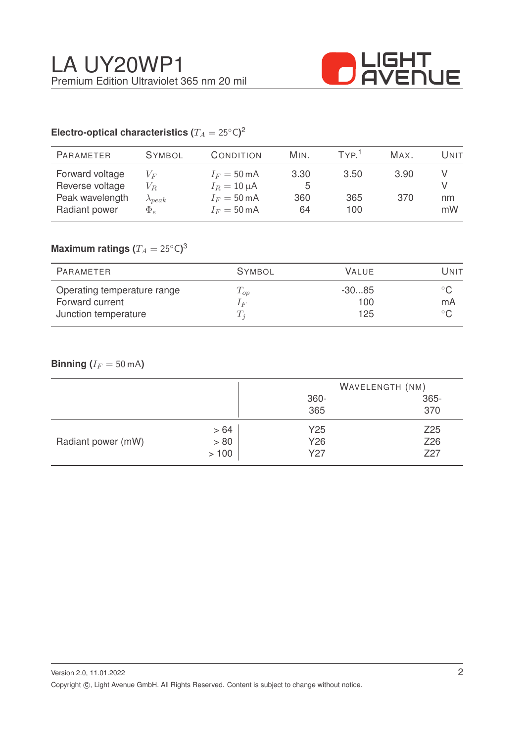

# Electro-optical characteristics ( $T_A = 25^{\circ} \text{C}$ )<sup>2</sup>

| <b>PARAMETER</b>                                                       | <b>SYMBOL</b>                                  | CONDITION                                                                                   | MIN.                   | TYP <sup>1</sup>   | MAX.        | Unit     |
|------------------------------------------------------------------------|------------------------------------------------|---------------------------------------------------------------------------------------------|------------------------|--------------------|-------------|----------|
| Forward voltage<br>Reverse voltage<br>Peak wavelength<br>Radiant power | $V_F$<br>$V_R$<br>$\lambda_{peak}$<br>$\Phi_e$ | $I_F = 50 \text{ mA}$<br>$I_R = 10 \mu A$<br>$I_F = 50 \text{ mA}$<br>$I_F = 50 \text{ mA}$ | 3.30<br>5<br>360<br>64 | 3.50<br>365<br>100 | 3.90<br>370 | nm<br>mW |
|                                                                        |                                                |                                                                                             |                        |                    |             |          |

## $\mathsf{Maximum}$  ratings  $(T_A = 25^{\circ} \mathsf{C})^3$

| PARAMETER                                                              | <b>SYMBOL</b>                | <b>VALUE</b>          | Unit                |
|------------------------------------------------------------------------|------------------------------|-----------------------|---------------------|
| Operating temperature range<br>Forward current<br>Junction temperature | $T_{op}$<br>1 F<br>$\perp_i$ | $-3085$<br>100<br>125 | $^{\circ}$ C.<br>mA |

### **Binning** ( $I_F = 50$  mA)

|                    |      |      | WAVELENGTH (NM) |  |
|--------------------|------|------|-----------------|--|
|                    |      | 360- | 365-            |  |
|                    |      | 365  | 370             |  |
| Radiant power (mW) | >64  | Y25  | Z <sub>25</sub> |  |
|                    | > 80 | Y26  | Z26             |  |
|                    | >100 | Y27  | Z27             |  |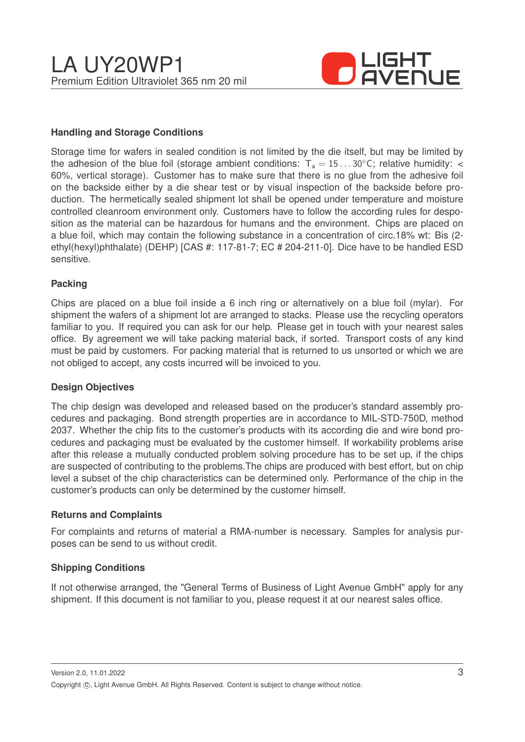

#### **Handling and Storage Conditions**

Storage time for wafers in sealed condition is not limited by the die itself, but may be limited by the adhesion of the blue foil (storage ambient conditions:  $T_a = 15...30^{\circ}$ C; relative humidity: < 60%, vertical storage). Customer has to make sure that there is no glue from the adhesive foil on the backside either by a die shear test or by visual inspection of the backside before production. The hermetically sealed shipment lot shall be opened under temperature and moisture controlled cleanroom environment only. Customers have to follow the according rules for desposition as the material can be hazardous for humans and the environment. Chips are placed on a blue foil, which may contain the following substance in a concentration of circ.18% wt: Bis (2 ethyl(hexyl)phthalate) (DEHP) [CAS #: 117-81-7; EC # 204-211-0]. Dice have to be handled ESD sensitive.

#### **Packing**

Chips are placed on a blue foil inside a 6 inch ring or alternatively on a blue foil (mylar). For shipment the wafers of a shipment lot are arranged to stacks. Please use the recycling operators familiar to you. If required you can ask for our help. Please get in touch with your nearest sales office. By agreement we will take packing material back, if sorted. Transport costs of any kind must be paid by customers. For packing material that is returned to us unsorted or which we are not obliged to accept, any costs incurred will be invoiced to you.

#### **Design Objectives**

The chip design was developed and released based on the producer's standard assembly procedures and packaging. Bond strength properties are in accordance to MIL-STD-750D, method 2037. Whether the chip fits to the customer's products with its according die and wire bond procedures and packaging must be evaluated by the customer himself. If workability problems arise after this release a mutually conducted problem solving procedure has to be set up, if the chips are suspected of contributing to the problems.The chips are produced with best effort, but on chip level a subset of the chip characteristics can be determined only. Performance of the chip in the customer's products can only be determined by the customer himself.

#### **Returns and Complaints**

For complaints and returns of material a RMA-number is necessary. Samples for analysis purposes can be send to us without credit.

#### **Shipping Conditions**

If not otherwise arranged, the "General Terms of Business of Light Avenue GmbH" apply for any shipment. If this document is not familiar to you, please request it at our nearest sales office.

Version 2.0, 11.01.2022 Copyright ©, Light Avenue GmbH. All Rights Reserved. Content is subject to change without notice.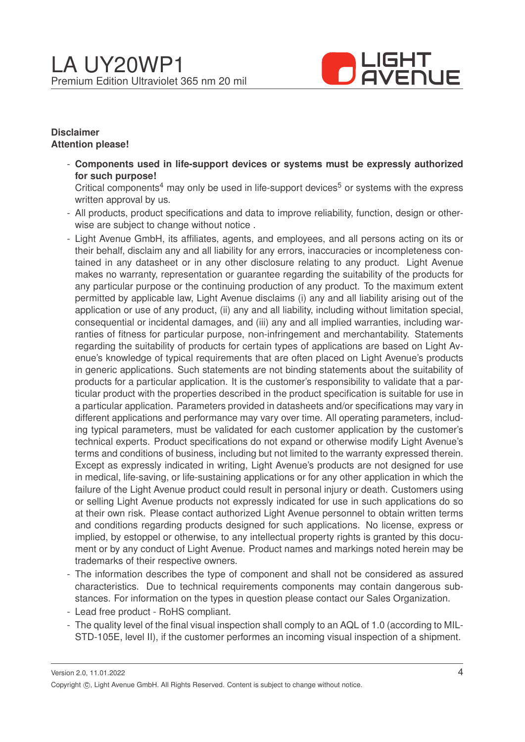

#### **Disclaimer Attention please!**

- **Components used in life-support devices or systems must be expressly authorized for such purpose!**

Critical components<sup>4</sup> may only be used in life-support devices<sup>5</sup> or systems with the express written approval by us.

- All products, product specifications and data to improve reliability, function, design or otherwise are subject to change without notice .
- Light Avenue GmbH, its affiliates, agents, and employees, and all persons acting on its or their behalf, disclaim any and all liability for any errors, inaccuracies or incompleteness contained in any datasheet or in any other disclosure relating to any product. Light Avenue makes no warranty, representation or guarantee regarding the suitability of the products for any particular purpose or the continuing production of any product. To the maximum extent permitted by applicable law, Light Avenue disclaims (i) any and all liability arising out of the application or use of any product, (ii) any and all liability, including without limitation special, consequential or incidental damages, and (iii) any and all implied warranties, including warranties of fitness for particular purpose, non-infringement and merchantability. Statements regarding the suitability of products for certain types of applications are based on Light Avenue's knowledge of typical requirements that are often placed on Light Avenue's products in generic applications. Such statements are not binding statements about the suitability of products for a particular application. It is the customer's responsibility to validate that a particular product with the properties described in the product specification is suitable for use in a particular application. Parameters provided in datasheets and/or specifications may vary in different applications and performance may vary over time. All operating parameters, including typical parameters, must be validated for each customer application by the customer's technical experts. Product specifications do not expand or otherwise modify Light Avenue's terms and conditions of business, including but not limited to the warranty expressed therein. Except as expressly indicated in writing, Light Avenue's products are not designed for use in medical, life-saving, or life-sustaining applications or for any other application in which the failure of the Light Avenue product could result in personal injury or death. Customers using or selling Light Avenue products not expressly indicated for use in such applications do so at their own risk. Please contact authorized Light Avenue personnel to obtain written terms and conditions regarding products designed for such applications. No license, express or implied, by estoppel or otherwise, to any intellectual property rights is granted by this document or by any conduct of Light Avenue. Product names and markings noted herein may be trademarks of their respective owners.
- The information describes the type of component and shall not be considered as assured characteristics. Due to technical requirements components may contain dangerous substances. For information on the types in question please contact our Sales Organization.
- Lead free product RoHS compliant.
- The quality level of the final visual inspection shall comply to an AQL of 1.0 (according to MIL-STD-105E, level II), if the customer performes an incoming visual inspection of a shipment.